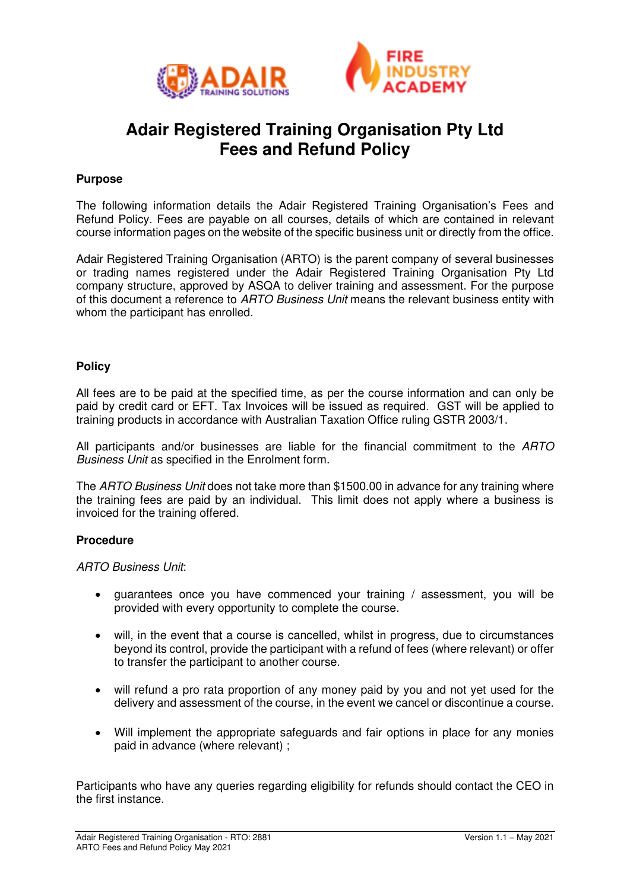



# **Adair Registered Training Organisation Pty Ltd Fees and Refund Policy**

# **Purpose**

The following information details the Adair Registered Training Organisation's Fees and Refund Policy. Fees are payable on all courses, details of which are contained in relevant course information pages on the website of the specific business unit or directly from the office.

Adair Registered Training Organisation (ARTO) is the parent company of several businesses or trading names registered under the Adair Registered Training Organisation Pty Ltd company structure, approved by ASQA to deliver training and assessment. For the purpose of this document a reference to *ARTO Business Unit* means the relevant business entity with whom the participant has enrolled.

## **Policy**

All fees are to be paid at the specified time, as per the course information and can only be paid by credit card or EFT. Tax Invoices will be issued as required. GST will be applied to training products in accordance with Australian Taxation Office ruling GSTR 2003/1.

All participants and/or businesses are liable for the financial commitment to the *ARTO Business Unit* as specified in the Enrolment form.

The *ARTO Business Unit* does not take more than \$1500.00 in advance for any training where the training fees are paid by an individual. This limit does not apply where a business is invoiced for the training offered.

## **Procedure**

*ARTO Business Unit*:

- guarantees once you have commenced your training / assessment, you will be provided with every opportunity to complete the course.
- will, in the event that a course is cancelled, whilst in progress, due to circumstances beyond its control, provide the participant with a refund of fees (where relevant) or offer to transfer the participant to another course.
- will refund a pro rata proportion of any money paid by you and not yet used for the delivery and assessment of the course, in the event we cancel or discontinue a course.
- Will implement the appropriate safeguards and fair options in place for any monies paid in advance (where relevant) ;

Participants who have any queries regarding eligibility for refunds should contact the CEO in the first instance.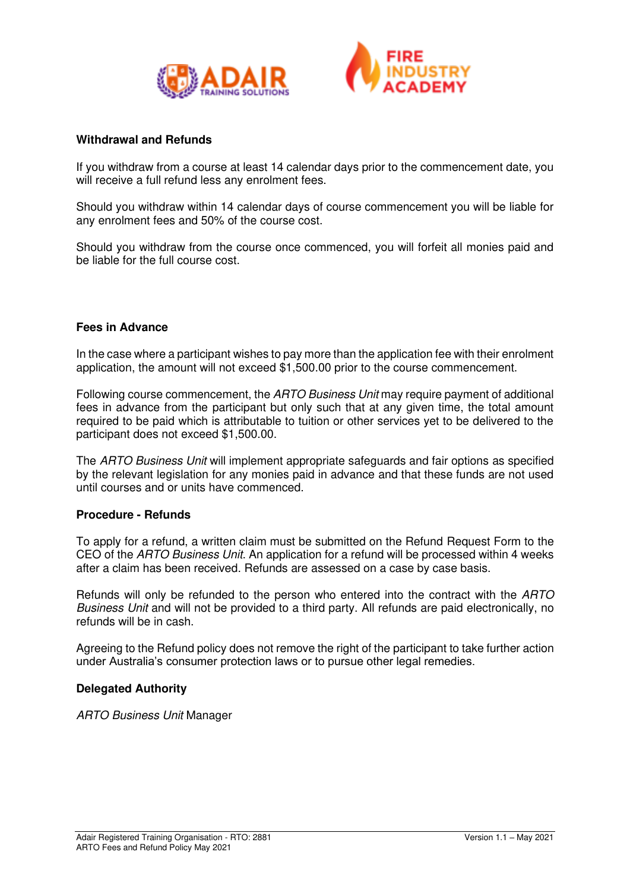



#### **Withdrawal and Refunds**

If you withdraw from a course at least 14 calendar days prior to the commencement date, you will receive a full refund less any enrolment fees.

Should you withdraw within 14 calendar days of course commencement you will be liable for any enrolment fees and 50% of the course cost.

Should you withdraw from the course once commenced, you will forfeit all monies paid and be liable for the full course cost.

#### **Fees in Advance**

In the case where a participant wishes to pay more than the application fee with their enrolment application, the amount will not exceed \$1,500.00 prior to the course commencement.

Following course commencement, the *ARTO Business Unit* may require payment of additional fees in advance from the participant but only such that at any given time, the total amount required to be paid which is attributable to tuition or other services yet to be delivered to the participant does not exceed \$1,500.00.

The *ARTO Business Unit* will implement appropriate safeguards and fair options as specified by the relevant legislation for any monies paid in advance and that these funds are not used until courses and or units have commenced.

#### **Procedure - Refunds**

To apply for a refund, a written claim must be submitted on the Refund Request Form to the CEO of the *ARTO Business Unit*. An application for a refund will be processed within 4 weeks after a claim has been received. Refunds are assessed on a case by case basis.

Refunds will only be refunded to the person who entered into the contract with the *ARTO Business Unit* and will not be provided to a third party. All refunds are paid electronically, no refunds will be in cash.

Agreeing to the Refund policy does not remove the right of the participant to take further action under Australia's consumer protection laws or to pursue other legal remedies.

## **Delegated Authority**

*ARTO Business Unit* Manager